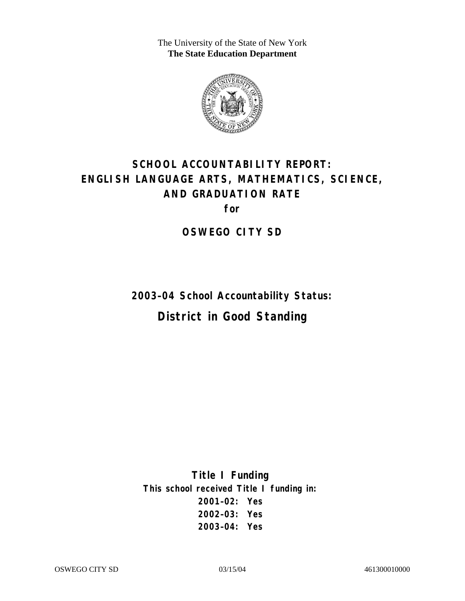The University of the State of New York **The State Education Department** 



# **SCHOOL ACCOUNTABILITY REPORT: ENGLISH LANGUAGE ARTS, MATHEMATICS, SCIENCE, AND GRADUATION RATE for**

**OSWEGO CITY SD** 

**2003–04 School Accountability Status:** 

**District in Good Standing** 

**Title I Funding This school received Title I funding in: 2001–02: Yes 2002–03: Yes 2003–04: Yes**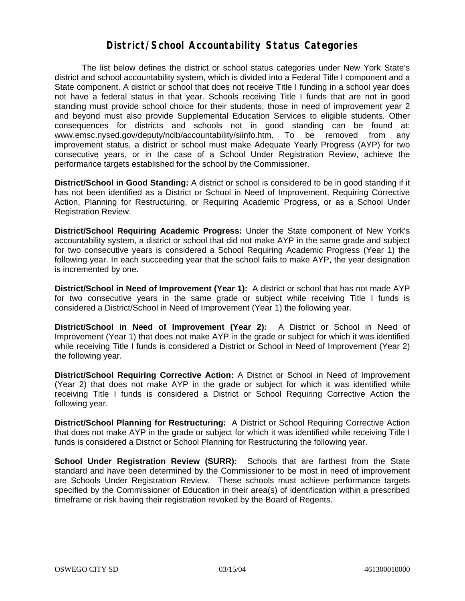#### **District/School Accountability Status Categories**

The list below defines the district or school status categories under New York State's district and school accountability system, which is divided into a Federal Title I component and a State component. A district or school that does not receive Title I funding in a school year does not have a federal status in that year. Schools receiving Title I funds that are not in good standing must provide school choice for their students; those in need of improvement year 2 and beyond must also provide Supplemental Education Services to eligible students. Other consequences for districts and schools not in good standing can be found at: www.emsc.nysed.gov/deputy/nclb/accountability/siinfo.htm. To be removed from any improvement status, a district or school must make Adequate Yearly Progress (AYP) for two consecutive years, or in the case of a School Under Registration Review, achieve the performance targets established for the school by the Commissioner.

**District/School in Good Standing:** A district or school is considered to be in good standing if it has not been identified as a District or School in Need of Improvement, Requiring Corrective Action, Planning for Restructuring, or Requiring Academic Progress, or as a School Under Registration Review.

**District/School Requiring Academic Progress:** Under the State component of New York's accountability system, a district or school that did not make AYP in the same grade and subject for two consecutive years is considered a School Requiring Academic Progress (Year 1) the following year. In each succeeding year that the school fails to make AYP, the year designation is incremented by one.

**District/School in Need of Improvement (Year 1):** A district or school that has not made AYP for two consecutive years in the same grade or subject while receiving Title I funds is considered a District/School in Need of Improvement (Year 1) the following year.

**District/School in Need of Improvement (Year 2):** A District or School in Need of Improvement (Year 1) that does not make AYP in the grade or subject for which it was identified while receiving Title I funds is considered a District or School in Need of Improvement (Year 2) the following year.

**District/School Requiring Corrective Action:** A District or School in Need of Improvement (Year 2) that does not make AYP in the grade or subject for which it was identified while receiving Title I funds is considered a District or School Requiring Corrective Action the following year.

**District/School Planning for Restructuring:** A District or School Requiring Corrective Action that does not make AYP in the grade or subject for which it was identified while receiving Title I funds is considered a District or School Planning for Restructuring the following year.

**School Under Registration Review (SURR):** Schools that are farthest from the State standard and have been determined by the Commissioner to be most in need of improvement are Schools Under Registration Review. These schools must achieve performance targets specified by the Commissioner of Education in their area(s) of identification within a prescribed timeframe or risk having their registration revoked by the Board of Regents.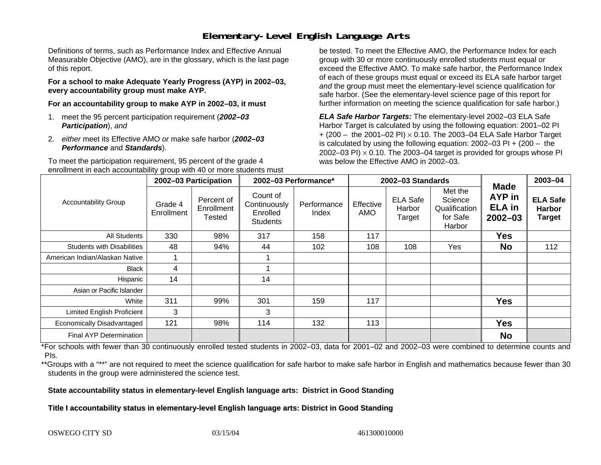## **Elementary-Level English Language Arts**

Definitions of terms, such as Performance Index and Effective Annual Measurable Objective (AMO), are in the glossary, which is the last page of this report.

**For a school to make Adequate Yearly Progress (AYP) in 2002–03, every accountability group must make AYP.** 

**For an accountability group to make AYP in 2002–03, it must** 

- 1. meet the 95 percent participation requirement (*2002–03 Participation*), *and*
- 2. *either* meet its Effective AMO *or* make safe harbor (*2002–03 Performance* and *Standards*).

To meet the participation requirement, 95 percent of the grade 4 enrollment in each accountability group with 40 or more students must

be tested. To meet the Effective AMO, the Performance Index for each group with 30 or more continuously enrolled students must equal or exceed the Effective AMO. To make safe harbor, the Performance Index of each of these groups must equal or exceed its ELA safe harbor target *and* the group must meet the elementary-level science qualification for safe harbor. (See the elementary-level science page of this report for further information on meeting the science qualification for safe harbor.)

*ELA Safe Harbor Targets:* The elementary-level 2002–03 ELA Safe Harbor Target is calculated by using the following equation: 2001–02 PI + (200 – the 2001–02 PI) <sup>×</sup> 0.10. The 2003–04 ELA Safe Harbor Target is calculated by using the following equation: 2002–03 PI + (200 – the 2002–03 PI)  $\times$  0.10. The 2003–04 target is provided for groups whose PI was below the Effective AMO in 2002–03.

|                                   | 2002-03 Participation |                                    | 2002-03 Performance*                                    |                      |                  | 2002-03 Standards                   |                                                           | 2003-04                                                      |                                                   |
|-----------------------------------|-----------------------|------------------------------------|---------------------------------------------------------|----------------------|------------------|-------------------------------------|-----------------------------------------------------------|--------------------------------------------------------------|---------------------------------------------------|
| <b>Accountability Group</b>       | Grade 4<br>Enrollment | Percent of<br>Enrollment<br>Tested | Count of<br>Continuously<br>Enrolled<br><b>Students</b> | Performance<br>Index | Effective<br>AMO | <b>ELA Safe</b><br>Harbor<br>Target | Met the<br>Science<br>Qualification<br>for Safe<br>Harbor | <b>Made</b><br><b>AYP</b> in<br><b>ELA</b> in<br>$2002 - 03$ | <b>ELA Safe</b><br><b>Harbor</b><br><b>Target</b> |
| All Students                      | 330                   | 98%                                | 317                                                     | 158                  | 117              |                                     |                                                           | Yes                                                          |                                                   |
| <b>Students with Disabilities</b> | 48                    | 94%                                | 44                                                      | 102                  | 108              | 108                                 | Yes                                                       | <b>No</b>                                                    | 112                                               |
| American Indian/Alaskan Native    |                       |                                    |                                                         |                      |                  |                                     |                                                           |                                                              |                                                   |
| <b>Black</b>                      | 4                     |                                    |                                                         |                      |                  |                                     |                                                           |                                                              |                                                   |
| Hispanic                          | 14                    |                                    | 14                                                      |                      |                  |                                     |                                                           |                                                              |                                                   |
| Asian or Pacific Islander         |                       |                                    |                                                         |                      |                  |                                     |                                                           |                                                              |                                                   |
| White                             | 311                   | 99%                                | 301                                                     | 159                  | 117              |                                     |                                                           | <b>Yes</b>                                                   |                                                   |
| Limited English Proficient        | 3                     |                                    | 3                                                       |                      |                  |                                     |                                                           |                                                              |                                                   |
| Economically Disadvantaged        | 121                   | 98%                                | 114                                                     | 132                  | 113              |                                     |                                                           | <b>Yes</b>                                                   |                                                   |
| Final AYP Determination           |                       |                                    |                                                         |                      |                  |                                     |                                                           | <b>No</b>                                                    |                                                   |

\*For schools with fewer than 30 continuously enrolled tested students in 2002–03, data for 2001–02 and 2002–03 were combined to determine counts and PIs.

\*\*Groups with a "\*\*" are not required to meet the science qualification for safe harbor to make safe harbor in English and mathematics because fewer than 30 students in the group were administered the science test.

**State accountability status in elementary-level English language arts: District in Good Standing** 

Title I accountability status in elementary-level English language arts: District in Good Standing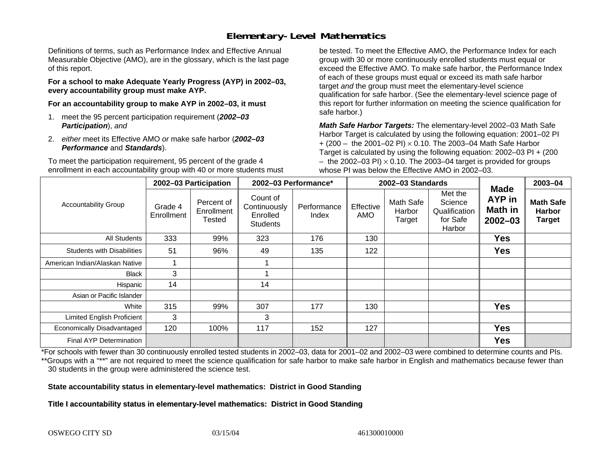## **Elementary-Level Mathematics**

Definitions of terms, such as Performance Index and Effective Annual Measurable Objective (AMO), are in the glossary, which is the last page of this report.

**For a school to make Adequate Yearly Progress (AYP) in 2002–03, every accountability group must make AYP.** 

**For an accountability group to make AYP in 2002–03, it must** 

- 1. meet the 95 percent participation requirement (*2002–03 Participation*), *and*
- 2. *either* meet its Effective AMO *or* make safe harbor (*2002–03 Performance* and *Standards*).

To meet the participation requirement, 95 percent of the grade 4 enrollment in each accountability group with 40 or more students must

be tested. To meet the Effective AMO, the Performance Index for each group with 30 or more continuously enrolled students must equal or exceed the Effective AMO. To make safe harbor, the Performance Index of each of these groups must equal or exceed its math safe harbor target *and* the group must meet the elementary-level science qualification for safe harbor. (See the elementary-level science page of this report for further information on meeting the science qualification for safe harbor.)

*Math Safe Harbor Targets:* The elementary-level 2002–03 Math Safe Harbor Target is calculated by using the following equation: 2001–02 PI + (200 – the 2001–02 PI) × 0.10. The 2003–04 Math Safe Harbor Target is calculated by using the following equation: 2002–03 PI + (200  $-$  the 2002–03 PI)  $\times$  0.10. The 2003–04 target is provided for groups whose PI was below the Effective AMO in 2002–03.

|                                   | 2002-03 Participation |                                    | 2002-03 Performance*                                    |                      | 2002-03 Standards |                               |                                                           |                                                        | 2003-04                                            |
|-----------------------------------|-----------------------|------------------------------------|---------------------------------------------------------|----------------------|-------------------|-------------------------------|-----------------------------------------------------------|--------------------------------------------------------|----------------------------------------------------|
| <b>Accountability Group</b>       | Grade 4<br>Enrollment | Percent of<br>Enrollment<br>Tested | Count of<br>Continuously<br>Enrolled<br><b>Students</b> | Performance<br>Index | Effective<br>AMO  | Math Safe<br>Harbor<br>Target | Met the<br>Science<br>Qualification<br>for Safe<br>Harbor | <b>Made</b><br>AYP in<br><b>Math in</b><br>$2002 - 03$ | <b>Math Safe</b><br><b>Harbor</b><br><b>Target</b> |
| <b>All Students</b>               | 333                   | 99%                                | 323                                                     | 176                  | 130               |                               |                                                           | <b>Yes</b>                                             |                                                    |
| <b>Students with Disabilities</b> | 51                    | 96%                                | 49                                                      | 135                  | 122               |                               |                                                           | <b>Yes</b>                                             |                                                    |
| American Indian/Alaskan Native    |                       |                                    |                                                         |                      |                   |                               |                                                           |                                                        |                                                    |
| <b>Black</b>                      | 3                     |                                    |                                                         |                      |                   |                               |                                                           |                                                        |                                                    |
| Hispanic                          | 14                    |                                    | 14                                                      |                      |                   |                               |                                                           |                                                        |                                                    |
| Asian or Pacific Islander         |                       |                                    |                                                         |                      |                   |                               |                                                           |                                                        |                                                    |
| White                             | 315                   | 99%                                | 307                                                     | 177                  | 130               |                               |                                                           | <b>Yes</b>                                             |                                                    |
| <b>Limited English Proficient</b> | 3                     |                                    | 3                                                       |                      |                   |                               |                                                           |                                                        |                                                    |
| Economically Disadvantaged        | 120                   | 100%                               | 117                                                     | 152                  | 127               |                               |                                                           | <b>Yes</b>                                             |                                                    |
| <b>Final AYP Determination</b>    |                       |                                    |                                                         |                      |                   |                               |                                                           | <b>Yes</b>                                             |                                                    |

\*For schools with fewer than 30 continuously enrolled tested students in 2002–03, data for 2001–02 and 2002–03 were combined to determine counts and PIs. \*\*Groups with a "\*\*" are not required to meet the science qualification for safe harbor to make safe harbor in English and mathematics because fewer than 30 students in the group were administered the science test.

**State accountability status in elementary-level mathematics: District in Good Standing** 

Title I accountability status in elementary-level mathematics: District in Good Standing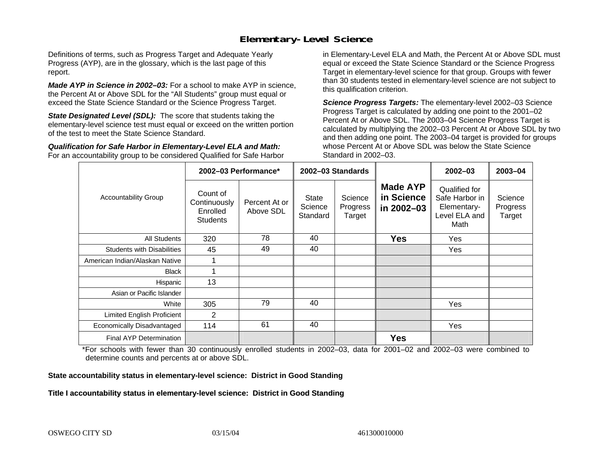#### **Elementary-Level Science**

Definitions of terms, such as Progress Target and Adequate Yearly Progress (AYP), are in the glossary, which is the last page of this report.

*Made AYP in Science in 2002–03:* For a school to make AYP in science, the Percent At or Above SDL for the "All Students" group must equal or exceed the State Science Standard or the Science Progress Target.

**State Designated Level (SDL):** The score that students taking the elementary-level science test must equal or exceed on the written portion of the test to meet the State Science Standard.

*Qualification for Safe Harbor in Elementary-Level ELA and Math:* For an accountability group to be considered Qualified for Safe Harbor in Elementary-Level ELA and Math, the Percent At or Above SDL must equal or exceed the State Science Standard or the Science Progress Target in elementary-level science for that group. Groups with fewer than 30 students tested in elementary-level science are not subject to this qualification criterion.

*Science Progress Targets:* The elementary-level 2002–03 Science Progress Target is calculated by adding one point to the 2001–02 Percent At or Above SDL. The 2003–04 Science Progress Target is calculated by multiplying the 2002–03 Percent At or Above SDL by two and then adding one point. The 2003–04 target is provided for groups whose Percent At or Above SDL was below the State Science Standard in 2002–03.

|                                   |                                                         | 2002-03 Performance*       | 2002-03 Standards                   |                               |                                             | $2002 - 03$                                                             | 2003-04                       |
|-----------------------------------|---------------------------------------------------------|----------------------------|-------------------------------------|-------------------------------|---------------------------------------------|-------------------------------------------------------------------------|-------------------------------|
| <b>Accountability Group</b>       | Count of<br>Continuously<br>Enrolled<br><b>Students</b> | Percent At or<br>Above SDL | <b>State</b><br>Science<br>Standard | Science<br>Progress<br>Target | <b>Made AYP</b><br>in Science<br>in 2002-03 | Qualified for<br>Safe Harbor in<br>Elementary-<br>Level ELA and<br>Math | Science<br>Progress<br>Target |
| All Students                      | 320                                                     | 78                         | 40                                  |                               | <b>Yes</b>                                  | Yes                                                                     |                               |
| <b>Students with Disabilities</b> | 45                                                      | 49                         | 40                                  |                               |                                             | Yes                                                                     |                               |
| American Indian/Alaskan Native    |                                                         |                            |                                     |                               |                                             |                                                                         |                               |
| <b>Black</b>                      |                                                         |                            |                                     |                               |                                             |                                                                         |                               |
| Hispanic                          | 13                                                      |                            |                                     |                               |                                             |                                                                         |                               |
| Asian or Pacific Islander         |                                                         |                            |                                     |                               |                                             |                                                                         |                               |
| White                             | 305                                                     | 79                         | 40                                  |                               |                                             | <b>Yes</b>                                                              |                               |
| Limited English Proficient        | 2                                                       |                            |                                     |                               |                                             |                                                                         |                               |
| Economically Disadvantaged        | 114                                                     | 61                         | 40                                  |                               |                                             | Yes                                                                     |                               |
| <b>Final AYP Determination</b>    |                                                         |                            |                                     |                               | <b>Yes</b>                                  |                                                                         |                               |

\*For schools with fewer than 30 continuously enrolled students in 2002–03, data for 2001–02 and 2002–03 were combined to determine counts and percents at or above SDL.

#### **State accountability status in elementary-level science: District in Good Standing**

#### Title I accountability status in elementary-level science: District in Good Standing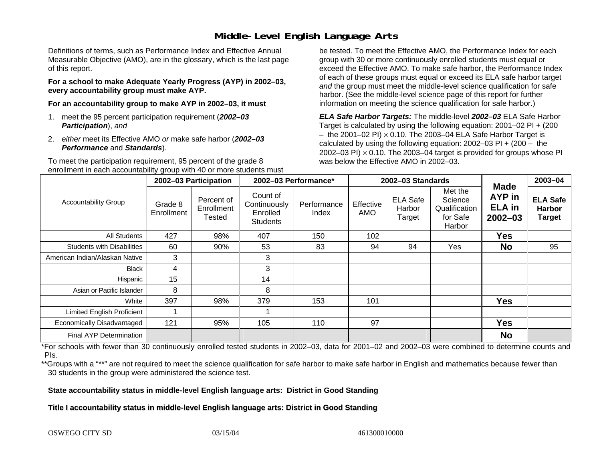### **Middle-Level English Language Arts**

Definitions of terms, such as Performance Index and Effective Annual Measurable Objective (AMO), are in the glossary, which is the last page of this report.

**For a school to make Adequate Yearly Progress (AYP) in 2002–03, every accountability group must make AYP.** 

**For an accountability group to make AYP in 2002–03, it must** 

- 1. meet the 95 percent participation requirement (*2002–03 Participation*), *and*
- 2. *either* meet its Effective AMO *or* make safe harbor (*2002–03 Performance* and *Standards*).

To meet the participation requirement, 95 percent of the grade 8 enrollment in each accountability group with 40 or more students must

be tested. To meet the Effective AMO, the Performance Index for each group with 30 or more continuously enrolled students must equal or exceed the Effective AMO. To make safe harbor, the Performance Index of each of these groups must equal or exceed its ELA safe harbor target *and* the group must meet the middle-level science qualification for safe harbor. (See the middle-level science page of this report for further information on meeting the science qualification for safe harbor.)

*ELA Safe Harbor Targets:* The middle-level *2002–03* ELA Safe Harbor Target is calculated by using the following equation: 2001–02 PI + (200  $-$  the 2001–02 PI)  $\times$  0.10. The 2003–04 ELA Safe Harbor Target is  $\,$ calculated by using the following equation:  $2002-03$  PI +  $(200 -$  the 2002–03 PI)  $\times$  0.10. The 2003–04 target is provided for groups whose PI was below the Effective AMO in 2002–03.

|                                   | 2002-03 Participation |                                    | 2002-03 Performance*                                    |                      |                  | 2002-03 Standards                   | <b>Made</b>                                               | 2003-04                                |                                                   |
|-----------------------------------|-----------------------|------------------------------------|---------------------------------------------------------|----------------------|------------------|-------------------------------------|-----------------------------------------------------------|----------------------------------------|---------------------------------------------------|
| <b>Accountability Group</b>       | Grade 8<br>Enrollment | Percent of<br>Enrollment<br>Tested | Count of<br>Continuously<br>Enrolled<br><b>Students</b> | Performance<br>Index | Effective<br>AMO | <b>ELA Safe</b><br>Harbor<br>Target | Met the<br>Science<br>Qualification<br>for Safe<br>Harbor | AYP in<br><b>ELA</b> in<br>$2002 - 03$ | <b>ELA Safe</b><br><b>Harbor</b><br><b>Target</b> |
| <b>All Students</b>               | 427                   | 98%                                | 407                                                     | 150                  | 102              |                                     |                                                           | <b>Yes</b>                             |                                                   |
| <b>Students with Disabilities</b> | 60                    | 90%                                | 53                                                      | 83                   | 94               | 94                                  | Yes                                                       | <b>No</b>                              | 95                                                |
| American Indian/Alaskan Native    | 3                     |                                    | 3                                                       |                      |                  |                                     |                                                           |                                        |                                                   |
| <b>Black</b>                      | 4                     |                                    | 3                                                       |                      |                  |                                     |                                                           |                                        |                                                   |
| Hispanic                          | 15                    |                                    | 14                                                      |                      |                  |                                     |                                                           |                                        |                                                   |
| Asian or Pacific Islander         | 8                     |                                    | 8                                                       |                      |                  |                                     |                                                           |                                        |                                                   |
| White                             | 397                   | 98%                                | 379                                                     | 153                  | 101              |                                     |                                                           | <b>Yes</b>                             |                                                   |
| <b>Limited English Proficient</b> |                       |                                    |                                                         |                      |                  |                                     |                                                           |                                        |                                                   |
| Economically Disadvantaged        | 121                   | 95%                                | 105                                                     | 110                  | 97               |                                     |                                                           | <b>Yes</b>                             |                                                   |
| <b>Final AYP Determination</b>    |                       |                                    |                                                         |                      |                  |                                     |                                                           | <b>No</b>                              |                                                   |

\*For schools with fewer than 30 continuously enrolled tested students in 2002–03, data for 2001–02 and 2002–03 were combined to determine counts and PIs.

\*\*Groups with a "\*\*" are not required to meet the science qualification for safe harbor to make safe harbor in English and mathematics because fewer than 30 students in the group were administered the science test.

**State accountability status in middle-level English language arts: District in Good Standing** 

Title I accountability status in middle-level English language arts: District in Good Standing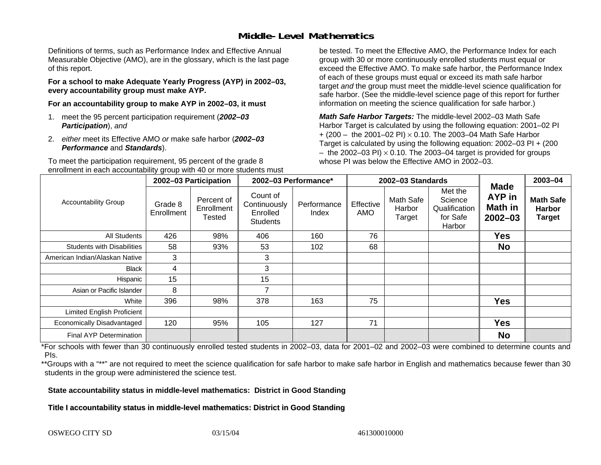### **Middle-Level Mathematics**

Definitions of terms, such as Performance Index and Effective Annual Measurable Objective (AMO), are in the glossary, which is the last page of this report.

**For a school to make Adequate Yearly Progress (AYP) in 2002–03, every accountability group must make AYP.** 

**For an accountability group to make AYP in 2002–03, it must** 

- 1. meet the 95 percent participation requirement (*2002–03 Participation*), *and*
- 2. *either* meet its Effective AMO *or* make safe harbor (*2002–03 Performance* and *Standards*).

To meet the participation requirement, 95 percent of the grade 8 enrollment in each accountability group with 40 or more students must

be tested. To meet the Effective AMO, the Performance Index for each group with 30 or more continuously enrolled students must equal or exceed the Effective AMO. To make safe harbor, the Performance Index of each of these groups must equal or exceed its math safe harbor target *and* the group must meet the middle-level science qualification for safe harbor. (See the middle-level science page of this report for further information on meeting the science qualification for safe harbor.)

*Math Safe Harbor Targets:* The middle-level 2002–03 Math Safe Harbor Target is calculated by using the following equation: 2001–02 PI + (200 – the 2001–02 PI) × 0.10. The 2003–04 Math Safe Harbor Target is calculated by using the following equation: 2002–03 PI + (200  $-$  the 2002–03 PI)  $\times$  0.10. The 2003–04 target is provided for groups whose PI was below the Effective AMO in 2002–03

|                                   | 2002-03 Participation |                                           | 2002-03 Performance*                                    |                      |                         | 2002-03 Standards             |                                                           | 2003-04                                         |                                                    |
|-----------------------------------|-----------------------|-------------------------------------------|---------------------------------------------------------|----------------------|-------------------------|-------------------------------|-----------------------------------------------------------|-------------------------------------------------|----------------------------------------------------|
| <b>Accountability Group</b>       | Grade 8<br>Enrollment | Percent of<br>Enrollment<br><b>Tested</b> | Count of<br>Continuously<br>Enrolled<br><b>Students</b> | Performance<br>Index | Effective<br><b>AMO</b> | Math Safe<br>Harbor<br>Target | Met the<br>Science<br>Qualification<br>for Safe<br>Harbor | <b>Made</b><br>AYP in<br>Math in<br>$2002 - 03$ | <b>Math Safe</b><br><b>Harbor</b><br><b>Target</b> |
| All Students                      | 426                   | 98%                                       | 406                                                     | 160                  | 76                      |                               |                                                           | <b>Yes</b>                                      |                                                    |
| <b>Students with Disabilities</b> | 58                    | 93%                                       | 53                                                      | 102                  | 68                      |                               |                                                           | <b>No</b>                                       |                                                    |
| American Indian/Alaskan Native    | 3                     |                                           | 3                                                       |                      |                         |                               |                                                           |                                                 |                                                    |
| <b>Black</b>                      | 4                     |                                           | 3                                                       |                      |                         |                               |                                                           |                                                 |                                                    |
| Hispanic                          | 15                    |                                           | 15                                                      |                      |                         |                               |                                                           |                                                 |                                                    |
| Asian or Pacific Islander         | 8                     |                                           | 7                                                       |                      |                         |                               |                                                           |                                                 |                                                    |
| White                             | 396                   | 98%                                       | 378                                                     | 163                  | 75                      |                               |                                                           | <b>Yes</b>                                      |                                                    |
| Limited English Proficient        |                       |                                           |                                                         |                      |                         |                               |                                                           |                                                 |                                                    |
| Economically Disadvantaged        | 120                   | 95%                                       | 105                                                     | 127                  | 71                      |                               |                                                           | <b>Yes</b>                                      |                                                    |
| Final AYP Determination           |                       |                                           |                                                         |                      |                         |                               |                                                           | <b>No</b>                                       |                                                    |

\*For schools with fewer than 30 continuously enrolled tested students in 2002–03, data for 2001–02 and 2002–03 were combined to determine counts and PIs.

\*\*Groups with a "\*\*" are not required to meet the science qualification for safe harbor to make safe harbor in English and mathematics because fewer than 30 students in the group were administered the science test.

**State accountability status in middle-level mathematics: District in Good Standing** 

Title I accountability status in middle-level mathematics: District in Good Standing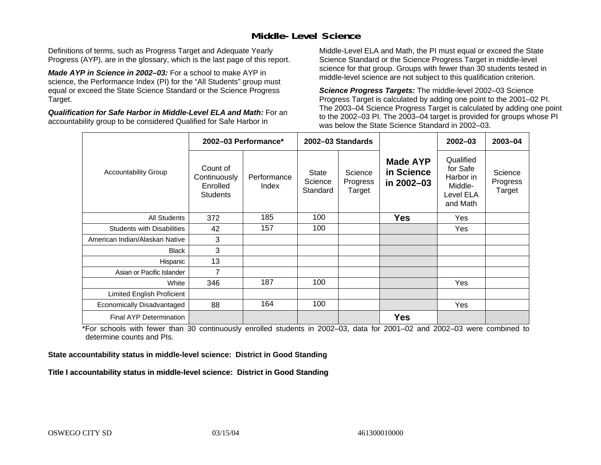### **Middle-Level Science**

Definitions of terms, such as Progress Target and Adequate Yearly Progress (AYP), are in the glossary, which is the last page of this report.

*Made AYP in Science in 2002–03:* For a school to make AYP in science, the Performance Index (PI) for the "All Students" group must equal or exceed the State Science Standard or the Science Progress Target.

*Qualification for Safe Harbor in Middle-Level ELA and Math:* For an accountability group to be considered Qualified for Safe Harbor in

Middle-Level ELA and Math, the PI must equal or exceed the State Science Standard or the Science Progress Target in middle-level science for that group. Groups with fewer than 30 students tested in middle-level science are not subject to this qualification criterion.

*Science Progress Targets:* The middle-level 2002–03 Science Progress Target is calculated by adding one point to the 2001–02 PI. The 2003–04 Science Progress Target is calculated by adding one point to the 2002–03 PI. The 2003–04 target is provided for groups whose PI was below the State Science Standard in 2002–03.

|                                   | 2002-03 Performance*                                    |                      | 2002-03 Standards            |                               |                                             | $2002 - 03$                                                            | 2003-04                       |
|-----------------------------------|---------------------------------------------------------|----------------------|------------------------------|-------------------------------|---------------------------------------------|------------------------------------------------------------------------|-------------------------------|
| <b>Accountability Group</b>       | Count of<br>Continuously<br>Enrolled<br><b>Students</b> | Performance<br>Index | State<br>Science<br>Standard | Science<br>Progress<br>Target | <b>Made AYP</b><br>in Science<br>in 2002-03 | Qualified<br>for Safe<br>Harbor in<br>Middle-<br>Level ELA<br>and Math | Science<br>Progress<br>Target |
| <b>All Students</b>               | 372                                                     | 185                  | 100                          |                               | <b>Yes</b>                                  | Yes                                                                    |                               |
| <b>Students with Disabilities</b> | 42                                                      | 157                  | 100                          |                               |                                             | Yes                                                                    |                               |
| American Indian/Alaskan Native    | 3                                                       |                      |                              |                               |                                             |                                                                        |                               |
| <b>Black</b>                      | 3                                                       |                      |                              |                               |                                             |                                                                        |                               |
| Hispanic                          | 13                                                      |                      |                              |                               |                                             |                                                                        |                               |
| Asian or Pacific Islander         | 7                                                       |                      |                              |                               |                                             |                                                                        |                               |
| White                             | 346                                                     | 187                  | 100                          |                               |                                             | Yes                                                                    |                               |
| Limited English Proficient        |                                                         |                      |                              |                               |                                             |                                                                        |                               |
| Economically Disadvantaged        | 88                                                      | 164                  | 100                          |                               |                                             | Yes                                                                    |                               |
| Final AYP Determination           |                                                         |                      |                              |                               | <b>Yes</b>                                  |                                                                        |                               |

\*For schools with fewer than 30 continuously enrolled students in 2002–03, data for 2001–02 and 2002–03 were combined to determine counts and PIs.

**State accountability status in middle-level science: District in Good Standing** 

Title I accountability status in middle-level science: District in Good Standing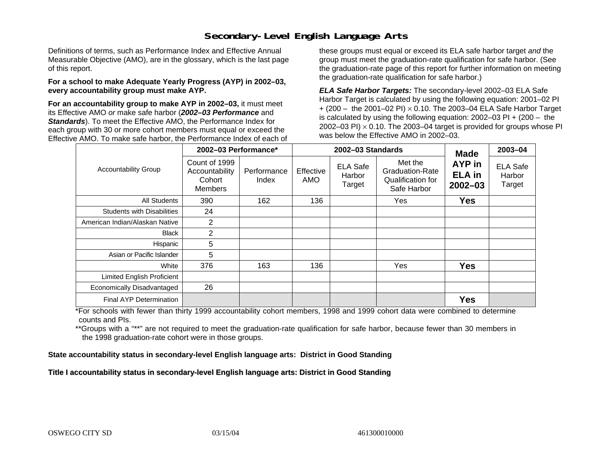### **Secondary-Level English Language Arts**

Definitions of terms, such as Performance Index and Effective Annual Measurable Objective (AMO), are in the glossary, which is the last page of this report.

#### **For a school to make Adequate Yearly Progress (AYP) in 2002–03, every accountability group must make AYP.**

**For an accountability group to make AYP in 2002–03,** it must meet its Effective AMO *or* make safe harbor (*2002–03 Performance* and *Standards*). To meet the Effective AMO, the Performance Index for each group with 30 or more cohort members must equal or exceed the Effective AMO. To make safe harbor, the Performance Index of each of these groups must equal or exceed its ELA safe harbor target *and* the group must meet the graduation-rate qualification for safe harbor. (See the graduation-rate page of this report for further information on meeting the graduation-rate qualification for safe harbor.)

*ELA Safe Harbor Targets:* The secondary-level 2002–03 ELA Safe Harbor Target is calculated by using the following equation: 2001–02 PI + (200 – the 2001–02 PI) <sup>×</sup> 0.10. The 2003–04 ELA Safe Harbor Target is calculated by using the following equation: 2002–03 PI + (200 – the 2002–03 PI)  $\times$  0.10. The 2003–04 target is provided for groups whose PI was below the Effective AMO in 2002–03.

|                                   | 2002-03 Performance*                                        |                                                                                                           |     | 2002-03 Standards                           | <b>Made</b>                            | 2003-04                             |  |
|-----------------------------------|-------------------------------------------------------------|-----------------------------------------------------------------------------------------------------------|-----|---------------------------------------------|----------------------------------------|-------------------------------------|--|
| <b>Accountability Group</b>       | Count of 1999<br>Accountability<br>Cohort<br><b>Members</b> | Met the<br><b>ELA Safe</b><br>Effective<br>Performance<br>Harbor<br>AMO<br>Index<br>Target<br>Safe Harbor |     | <b>Graduation-Rate</b><br>Qualification for | AYP in<br><b>ELA in</b><br>$2002 - 03$ | <b>ELA Safe</b><br>Harbor<br>Target |  |
| <b>All Students</b>               | 390                                                         | 162                                                                                                       | 136 |                                             | Yes                                    | <b>Yes</b>                          |  |
| <b>Students with Disabilities</b> | 24                                                          |                                                                                                           |     |                                             |                                        |                                     |  |
| American Indian/Alaskan Native    | 2                                                           |                                                                                                           |     |                                             |                                        |                                     |  |
| <b>Black</b>                      | 2                                                           |                                                                                                           |     |                                             |                                        |                                     |  |
| Hispanic                          | 5                                                           |                                                                                                           |     |                                             |                                        |                                     |  |
| Asian or Pacific Islander         | 5                                                           |                                                                                                           |     |                                             |                                        |                                     |  |
| White                             | 376                                                         | 163                                                                                                       | 136 |                                             | Yes                                    | <b>Yes</b>                          |  |
| Limited English Proficient        |                                                             |                                                                                                           |     |                                             |                                        |                                     |  |
| Economically Disadvantaged        | 26                                                          |                                                                                                           |     |                                             |                                        |                                     |  |
| Final AYP Determination           |                                                             |                                                                                                           |     |                                             |                                        | <b>Yes</b>                          |  |

\*For schools with fewer than thirty 1999 accountability cohort members, 1998 and 1999 cohort data were combined to determine counts and PIs.

\*\*Groups with a "\*\*" are not required to meet the graduation-rate qualification for safe harbor, because fewer than 30 members in the 1998 graduation-rate cohort were in those groups.

**State accountability status in secondary-level English language arts: District in Good Standing** 

Title I accountability status in secondary-level English language arts: District in Good Standing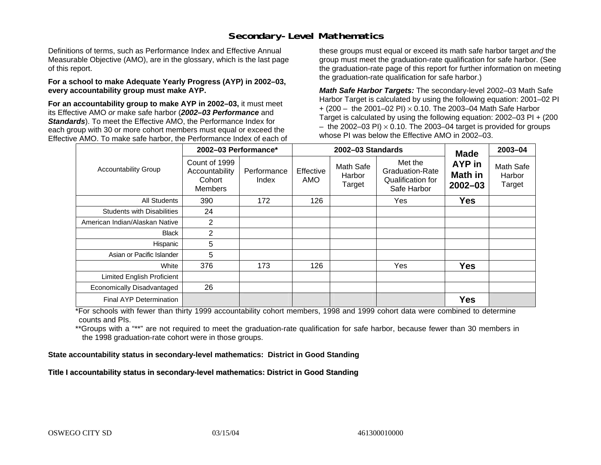### **Secondary-Level Mathematics**

Definitions of terms, such as Performance Index and Effective Annual Measurable Objective (AMO), are in the glossary, which is the last page of this report.

#### **For a school to make Adequate Yearly Progress (AYP) in 2002–03, every accountability group must make AYP.**

**For an accountability group to make AYP in 2002–03,** it must meet its Effective AMO *or* make safe harbor (*2002–03 Performance* and *Standards*). To meet the Effective AMO, the Performance Index for each group with 30 or more cohort members must equal or exceed the Effective AMO. To make safe harbor, the Performance Index of each of these groups must equal or exceed its math safe harbor target *and* the group must meet the graduation-rate qualification for safe harbor. (See the graduation-rate page of this report for further information on meeting the graduation-rate qualification for safe harbor.)

*Math Safe Harbor Targets:* The secondary-level 2002–03 Math Safe Harbor Target is calculated by using the following equation: 2001–02 PI + (200 – the 2001–02 PI) × 0.10. The 2003–04 Math Safe Harbor Target is calculated by using the following equation: 2002–03 PI + (200  $-$  the 2002–03 PI)  $\times$  0.10. The 2003–04 target is provided for groups whose PI was below the Effective AMO in 2002–03.

|                                   | 2002-03 Performance*                                        |                      |                  | 2002-03 Standards             | <b>Made</b>                                                    | 2003-04                          |                               |
|-----------------------------------|-------------------------------------------------------------|----------------------|------------------|-------------------------------|----------------------------------------------------------------|----------------------------------|-------------------------------|
| <b>Accountability Group</b>       | Count of 1999<br>Accountability<br>Cohort<br><b>Members</b> | Performance<br>Index | Effective<br>AMO | Math Safe<br>Harbor<br>Target | Met the<br>Graduation-Rate<br>Qualification for<br>Safe Harbor | AYP in<br>Math in<br>$2002 - 03$ | Math Safe<br>Harbor<br>Target |
| <b>All Students</b>               | 390                                                         | 172                  | 126              |                               | Yes                                                            | <b>Yes</b>                       |                               |
| <b>Students with Disabilities</b> | 24                                                          |                      |                  |                               |                                                                |                                  |                               |
| American Indian/Alaskan Native    | 2                                                           |                      |                  |                               |                                                                |                                  |                               |
| <b>Black</b>                      | $\overline{2}$                                              |                      |                  |                               |                                                                |                                  |                               |
| Hispanic                          | 5                                                           |                      |                  |                               |                                                                |                                  |                               |
| Asian or Pacific Islander         | 5                                                           |                      |                  |                               |                                                                |                                  |                               |
| White                             | 376                                                         | 173                  | 126              |                               | Yes                                                            | <b>Yes</b>                       |                               |
| Limited English Proficient        |                                                             |                      |                  |                               |                                                                |                                  |                               |
| Economically Disadvantaged        | 26                                                          |                      |                  |                               |                                                                |                                  |                               |
| <b>Final AYP Determination</b>    |                                                             |                      |                  |                               |                                                                | <b>Yes</b>                       |                               |

\*For schools with fewer than thirty 1999 accountability cohort members, 1998 and 1999 cohort data were combined to determine counts and PIs.

\*\*Groups with a "\*\*" are not required to meet the graduation-rate qualification for safe harbor, because fewer than 30 members in the 1998 graduation-rate cohort were in those groups.

**State accountability status in secondary-level mathematics: District in Good Standing** 

Title I accountability status in secondary-level mathematics: District in Good Standing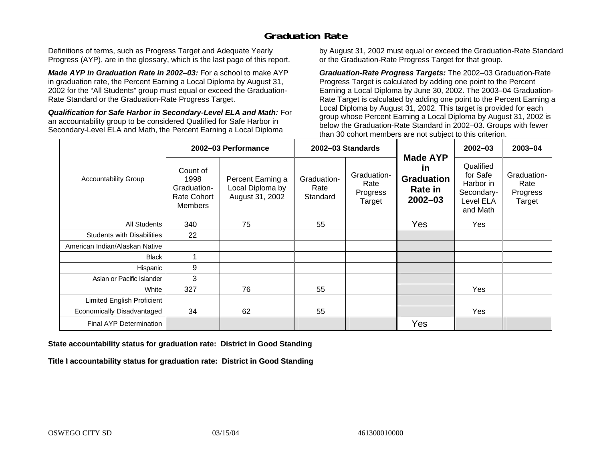### **Graduation Rate**

Definitions of terms, such as Progress Target and Adequate Yearly Progress (AYP), are in the glossary, which is the last page of this report.

*Made AYP in Graduation Rate in 2002–03:* For a school to make AYP in graduation rate, the Percent Earning a Local Diploma by August 31, 2002 for the "All Students" group must equal or exceed the Graduation-Rate Standard or the Graduation-Rate Progress Target.

*Qualification for Safe Harbor in Secondary-Level ELA and Math:* For an accountability group to be considered Qualified for Safe Harbor in Secondary-Level ELA and Math, the Percent Earning a Local Diploma

by August 31, 2002 must equal or exceed the Graduation-Rate Standard or the Graduation-Rate Progress Target for that group.

*Graduation-Rate Progress Targets:* The 2002–03 Graduation-Rate Progress Target is calculated by adding one point to the Percent Earning a Local Diploma by June 30, 2002. The 2003–04 Graduation-Rate Target is calculated by adding one point to the Percent Earning a Local Diploma by August 31, 2002. This target is provided for each group whose Percent Earning a Local Diploma by August 31, 2002 is below the Graduation-Rate Standard in 2002–03. Groups with fewer than 30 cohort members are not subject to this criterion.

|                                   |                                                                         | 2002-03 Performance                                      |                                 | 2002-03 Standards                         |                                                                      | 2002-03                                                                   | 2003-04                                   |
|-----------------------------------|-------------------------------------------------------------------------|----------------------------------------------------------|---------------------------------|-------------------------------------------|----------------------------------------------------------------------|---------------------------------------------------------------------------|-------------------------------------------|
| <b>Accountability Group</b>       | Count of<br>1998<br>Graduation-<br><b>Rate Cohort</b><br><b>Members</b> | Percent Earning a<br>Local Diploma by<br>August 31, 2002 | Graduation-<br>Rate<br>Standard | Graduation-<br>Rate<br>Progress<br>Target | <b>Made AYP</b><br>in<br><b>Graduation</b><br>Rate in<br>$2002 - 03$ | Qualified<br>for Safe<br>Harbor in<br>Secondary-<br>Level ELA<br>and Math | Graduation-<br>Rate<br>Progress<br>Target |
| All Students                      | 340                                                                     | 75                                                       | 55                              |                                           | Yes                                                                  | Yes                                                                       |                                           |
| <b>Students with Disabilities</b> | 22                                                                      |                                                          |                                 |                                           |                                                                      |                                                                           |                                           |
| American Indian/Alaskan Native    |                                                                         |                                                          |                                 |                                           |                                                                      |                                                                           |                                           |
| <b>Black</b>                      |                                                                         |                                                          |                                 |                                           |                                                                      |                                                                           |                                           |
| Hispanic                          | 9                                                                       |                                                          |                                 |                                           |                                                                      |                                                                           |                                           |
| Asian or Pacific Islander         | 3                                                                       |                                                          |                                 |                                           |                                                                      |                                                                           |                                           |
| White                             | 327                                                                     | 76                                                       | 55                              |                                           |                                                                      | Yes                                                                       |                                           |
| Limited English Proficient        |                                                                         |                                                          |                                 |                                           |                                                                      |                                                                           |                                           |
| Economically Disadvantaged        | 34                                                                      | 62                                                       | 55                              |                                           |                                                                      | Yes                                                                       |                                           |
| <b>Final AYP Determination</b>    |                                                                         |                                                          |                                 |                                           | Yes                                                                  |                                                                           |                                           |

#### **State accountability status for graduation rate: District in Good Standing**

Title I accountability status for graduation rate: District in Good Standing